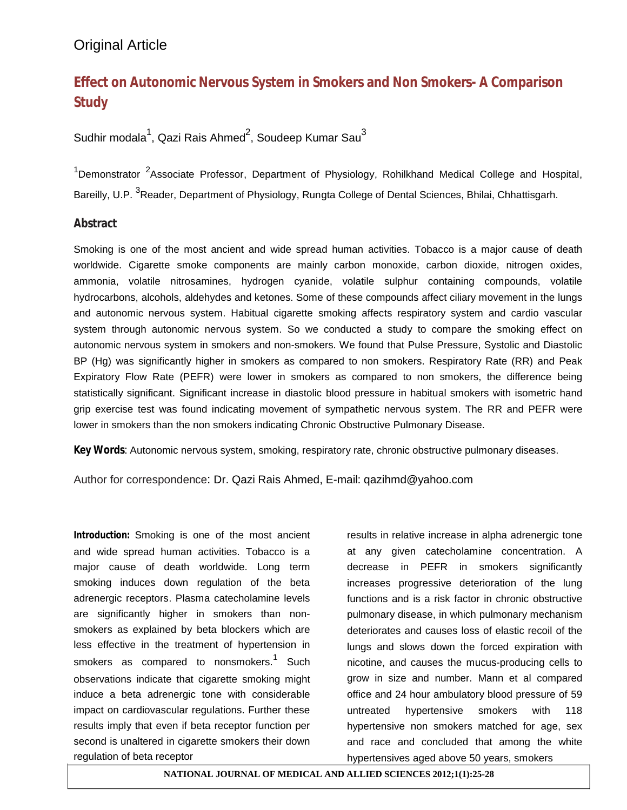# **Effect on Autonomic Nervous System in Smokers and Non Smokers- A Comparison Study**

#### Sudhir modala $^1$ , Qazi Rais Ahmed $^2$ , Soudeep Kumar Sau $^3$

<sup>1</sup>Demonstrator <sup>2</sup>Associate Professor, Department of Physiology, Rohilkhand Medical College and Hospital, Bareilly, U.P. <sup>3</sup>Reader, Department of Physiology, Rungta College of Dental Sciences, Bhilai, Chhattisgarh.

#### **Abstract**

Smoking is one of the most ancient and wide spread human activities. Tobacco is a major cause of death worldwide. Cigarette smoke components are mainly carbon monoxide, carbon dioxide, nitrogen oxides, ammonia, volatile nitrosamines, hydrogen cyanide, volatile sulphur containing compounds, volatile hydrocarbons, alcohols, aldehydes and ketones. Some of these compounds affect ciliary movement in the lungs and autonomic nervous system. Habitual cigarette smoking affects respiratory system and cardio vascular system through autonomic nervous system. So we conducted a study to compare the smoking effect on autonomic nervous system in smokers and non-smokers. We found that Pulse Pressure, Systolic and Diastolic BP (Hg) was significantly higher in smokers as compared to non smokers. Respiratory Rate (RR) and Peak Expiratory Flow Rate (PEFR) were lower in smokers as compared to non smokers, the difference being statistically significant. Significant increase in diastolic blood pressure in habitual smokers with isometric hand grip exercise test was found indicating movement of sympathetic nervous system. The RR and PEFR were lower in smokers than the non smokers indicating Chronic Obstructive Pulmonary Disease.

**Key Words**: Autonomic nervous system, smoking, respiratory rate, chronic obstructive pulmonary diseases.

Author for correspondence: Dr. Qazi Rais Ahmed, E-mail: qazihmd@yahoo.com

**Introduction:** Smoking is one of the most ancient and wide spread human activities. Tobacco is a major cause of death worldwide. Long term smoking induces down regulation of the beta adrenergic receptors. Plasma catecholamine levels are significantly higher in smokers than nonsmokers as explained by beta blockers which are less effective in the treatment of hypertension in smokers as compared to nonsmokers.<sup>1</sup> Such observations indicate that cigarette smoking might induce a beta adrenergic tone with considerable impact on cardiovascular regulations. Further these results imply that even if beta receptor function per second is unaltered in cigarette smokers their down regulation of beta receptor

results in relative increase in alpha adrenergic tone at any given catecholamine concentration. A decrease in PEFR in smokers significantly increases progressive deterioration of the lung functions and is a risk factor in chronic obstructive pulmonary disease, in which pulmonary mechanism deteriorates and causes loss of elastic recoil of the lungs and slows down the forced expiration with nicotine, and causes the mucus-producing cells to grow in size and number. Mann et al compared office and 24 hour ambulatory blood pressure of 59 untreated hypertensive smokers with 118 hypertensive non smokers matched for age, sex and race and concluded that among the white hypertensives aged above 50 years, smokers

**NATIONAL JOURNAL OF MEDICAL AND ALLIED SCIENCES 2012;1(1):25-28**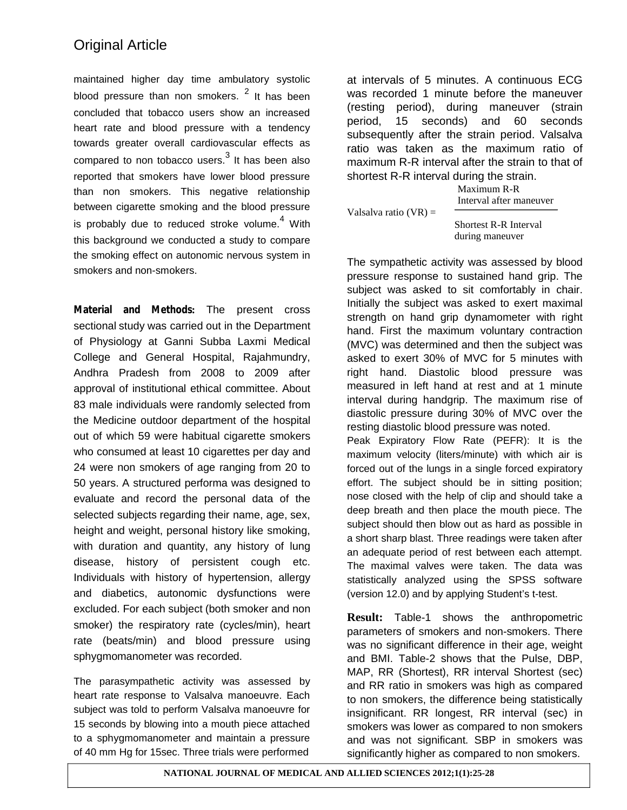maintained higher day time ambulatory systolic blood pressure than non smokers.  $2$  It has been concluded that tobacco users show an increased heart rate and blood pressure with a tendency towards greater overall cardiovascular effects as compared to non tobacco users. $3$  It has been also reported that smokers have lower blood pressure than non smokers. This negative relationship between cigarette smoking and the blood pressure is probably due to reduced stroke volume. $4$  With this background we conducted a study to compare the smoking effect on autonomic nervous system in smokers and non-smokers.

**Material and Methods:** The present cross sectional study was carried out in the Department of Physiology at Ganni Subba Laxmi Medical College and General Hospital, Rajahmundry, Andhra Pradesh from 2008 to 2009 after approval of institutional ethical committee. About 83 male individuals were randomly selected from the Medicine outdoor department of the hospital out of which 59 were habitual cigarette smokers who consumed at least 10 cigarettes per day and 24 were non smokers of age ranging from 20 to 50 years. A structured performa was designed to evaluate and record the personal data of the selected subjects regarding their name, age, sex, height and weight, personal history like smoking, with duration and quantity, any history of lung disease, history of persistent cough etc. Individuals with history of hypertension, allergy and diabetics, autonomic dysfunctions were excluded. For each subject (both smoker and non smoker) the respiratory rate (cycles/min), heart rate (beats/min) and blood pressure using sphygmomanometer was recorded.

The parasympathetic activity was assessed by heart rate response to Valsalva manoeuvre. Each subject was told to perform Valsalva manoeuvre for 15 seconds by blowing into a mouth piece attached to a sphygmomanometer and maintain a pressure of 40 mm Hg for 15sec. Three trials were performed

at intervals of 5 minutes. A continuous ECG was recorded 1 minute before the maneuver (resting period), during maneuver (strain period, 15 seconds) and 60 seconds subsequently after the strain period. Valsalva ratio was taken as the maximum ratio of maximum R-R interval after the strain to that of shortest R-R interval during the strain.

Valsalva ratio  $(VR)$  =

Interval after maneuver Shortest R-R Interval during maneuver

Maximum R-R

The sympathetic activity was assessed by blood pressure response to sustained hand grip. The subject was asked to sit comfortably in chair. Initially the subject was asked to exert maximal strength on hand grip dynamometer with right hand. First the maximum voluntary contraction (MVC) was determined and then the subject was asked to exert 30% of MVC for 5 minutes with right hand. Diastolic blood pressure was measured in left hand at rest and at 1 minute interval during handgrip. The maximum rise of diastolic pressure during 30% of MVC over the resting diastolic blood pressure was noted.

Peak Expiratory Flow Rate (PEFR): It is the maximum velocity (liters/minute) with which air is forced out of the lungs in a single forced expiratory effort. The subject should be in sitting position; nose closed with the help of clip and should take a deep breath and then place the mouth piece. The subject should then blow out as hard as possible in a short sharp blast. Three readings were taken after an adequate period of rest between each attempt. The maximal valves were taken. The data was statistically analyzed using the SPSS software (version 12.0) and by applying Student's t-test.

**Result:** Table-1 shows the anthropometric parameters of smokers and non-smokers. There was no significant difference in their age, weight and BMI. Table-2 shows that the Pulse, DBP, MAP, RR (Shortest), RR interval Shortest (sec) and RR ratio in smokers was high as compared to non smokers, the difference being statistically insignificant. RR longest, RR interval (sec) in smokers was lower as compared to non smokers and was not significant. SBP in smokers was significantly higher as compared to non smokers.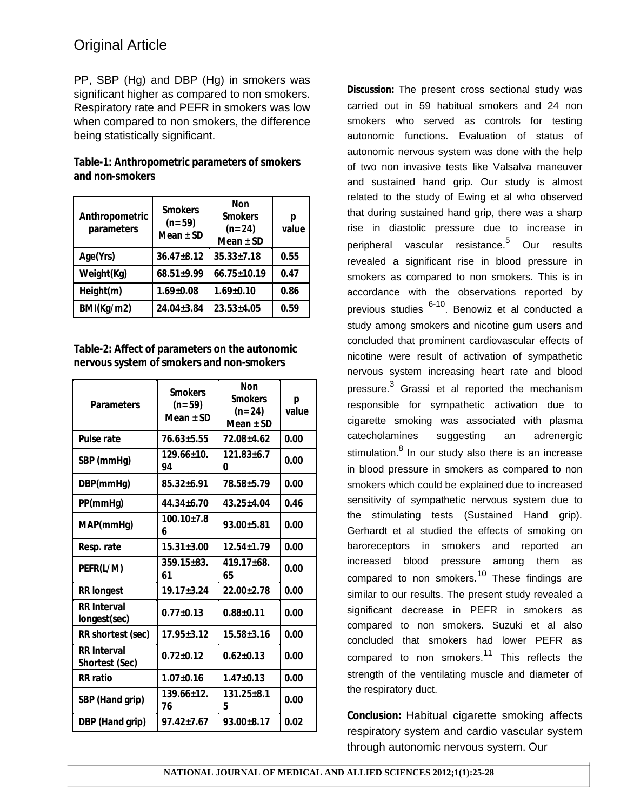PP, SBP (Hg) and DBP (Hg) in smokers was significant higher as compared to non smokers. Respiratory rate and PEFR in smokers was low when compared to non smokers, the difference being statistically significant.

**Table-1: Anthropometric parameters of smokers and non-smokers**

| Anthropometric<br>parameters | Smokers<br>$(n=59)$<br>Mean $\pm$ SD | Non<br><b>Smokers</b><br>$(n=24)$<br>Mean $\pm$ SD | р<br>value |
|------------------------------|--------------------------------------|----------------------------------------------------|------------|
| Age(Yrs)                     | $36.47 \pm 8.12$                     | $35.33 \pm 7.18$                                   | 0.55       |
| Weight(Kg)                   | $68.51{\pm}9.99$                     | $66.75 \pm 10.19$                                  | 0.47       |
| Height(m)                    | $1.69 \pm 0.08$                      | $1.69 \pm 0.10$                                    | 0.86       |
| BMI(Kg/m2)                   | 24.04±3.84                           | $23.53 \pm 4.05$                                   | 0.59       |

**Table-2: Affect of parameters on the autonomic nervous system of smokers and non-smokers**

| Parameters                           | Smokers<br>$(n=59)$<br>Mean ± SD | Non<br><b>Smokers</b><br>$(n=24)$<br>Mean $\pm$ SD | р<br>value |
|--------------------------------------|----------------------------------|----------------------------------------------------|------------|
| Pulse rate                           | $76.63 \pm 5.55$                 | 72.08±4.62                                         | 0.00       |
| SBP (mmHg)                           | $129.66 + 10.$<br>94             | $121.83 + 6.7$<br>0                                | 0.00       |
| DBP(mmHg)                            | $85.32 \pm 6.91$                 | 78.58+5.79                                         | 0.00       |
| PP(mmHq)                             | $44.34 + 6.70$                   | $43.25 \pm 4.04$                                   | 0.46       |
| MAP(mmHq)                            | $100.10{\pm}7.8$<br>6            | $93.00 \pm 5.81$                                   | 0.00       |
| Resp. rate                           | $15.31 \pm 3.00$                 | $12.54 \pm 1.79$                                   | 0.00       |
| PEFR(L/M)                            | $359.15 \pm 83.$<br>61           | $419.17 \pm 68.$<br>65                             | 0.00       |
| <b>RR</b> longest                    | $19.17 + 3.24$                   | $22.00+2.78$                                       | 0.00       |
| <b>RR</b> Interval<br>longest(sec)   | $0.77 + 0.13$                    | $0.88 + 0.11$                                      | 0.00       |
| RR shortest (sec)                    | $17.95 \pm 3.12$                 | $15.58 \pm 3.16$                                   | 0.00       |
| <b>RR</b> Interval<br>Shortest (Sec) | $0.72 + 0.12$                    | $0.62{\pm}0.13$                                    | 0.00       |
| RR ratio                             | $1.07 \pm 0.16$                  | $1.47 \pm 0.13$                                    | 0.00       |
| SBP (Hand grip)                      | $139.66 \pm 12.$<br>76           | $131.25 \pm 8.1$<br>5                              | 0.00       |
| DBP (Hand grip)                      | $97.42 + 7.67$                   | $93.00 \pm 8.17$                                   | 0.02       |

**Discussion:** The present cross sectional study was carried out in 59 habitual smokers and 24 non smokers who served as controls for testing autonomic functions. Evaluation of status of autonomic nervous system was done with the help of two non invasive tests like Valsalva maneuver and sustained hand grip. Our study is almost related to the study of Ewing et al who observed that during sustained hand grip, there was a sharp rise in diastolic pressure due to increase in peripheral vascular resistance.<sup>5</sup> Our results revealed a significant rise in blood pressure in smokers as compared to non smokers. This is in accordance with the observations reported by previous studies 6-10. Benowiz et al conducted a study among smokers and nicotine gum users and concluded that prominent cardiovascular effects of nicotine were result of activation of sympathetic nervous system increasing heart rate and blood pressure.<sup>3</sup> Grassi et al reported the mechanism responsible for sympathetic activation due to cigarette smoking was associated with plasma catecholamines suggesting an adrenergic stimulation.<sup>8</sup> In our study also there is an increase in blood pressure in smokers as compared to non smokers which could be explained due to increased sensitivity of sympathetic nervous system due to the stimulating tests (Sustained Hand grip). Gerhardt et al studied the effects of smoking on baroreceptors in smokers and reported an increased blood pressure among them as compared to non smokers.<sup>10</sup> These findings are similar to our results. The present study revealed a significant decrease in PEFR in smokers as compared to non smokers. Suzuki et al also concluded that smokers had lower PEFR as compared to non smokers.<sup>11</sup> This reflects the strength of the ventilating muscle and diameter of the respiratory duct.

**Conclusion:** Habitual cigarette smoking affects respiratory system and cardio vascular system through autonomic nervous system. Our